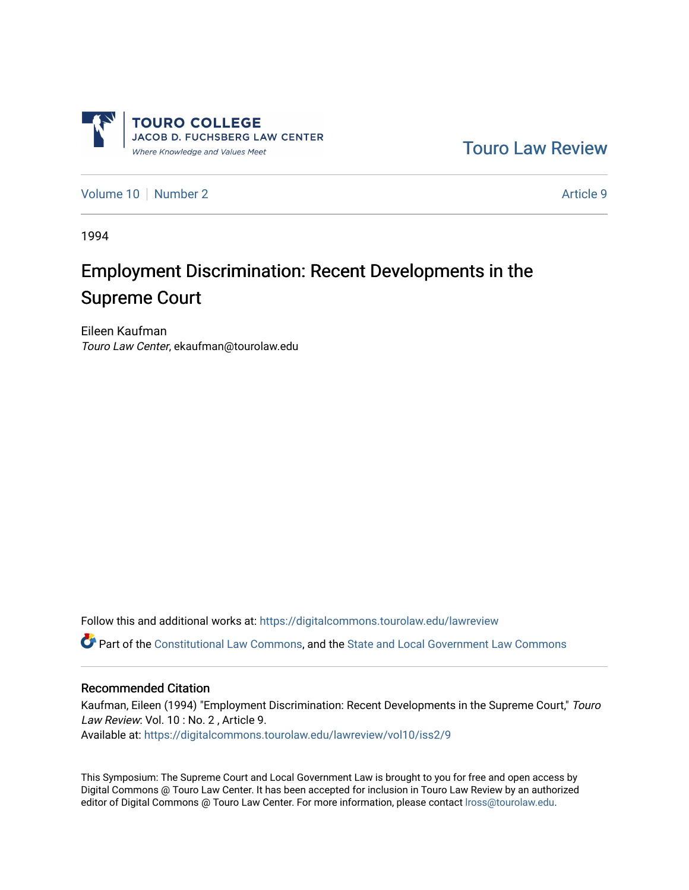

[Touro Law Review](https://digitalcommons.tourolaw.edu/lawreview) 

[Volume 10](https://digitalcommons.tourolaw.edu/lawreview/vol10) [Number 2](https://digitalcommons.tourolaw.edu/lawreview/vol10/iss2) Article 9

1994

# Employment Discrimination: Recent Developments in the Supreme Court

Eileen Kaufman Touro Law Center, ekaufman@tourolaw.edu

Follow this and additional works at: [https://digitalcommons.tourolaw.edu/lawreview](https://digitalcommons.tourolaw.edu/lawreview?utm_source=digitalcommons.tourolaw.edu%2Flawreview%2Fvol10%2Fiss2%2F9&utm_medium=PDF&utm_campaign=PDFCoverPages)

Part of the [Constitutional Law Commons,](http://network.bepress.com/hgg/discipline/589?utm_source=digitalcommons.tourolaw.edu%2Flawreview%2Fvol10%2Fiss2%2F9&utm_medium=PDF&utm_campaign=PDFCoverPages) and the State and Local Government Law Commons

#### Recommended Citation

Kaufman, Eileen (1994) "Employment Discrimination: Recent Developments in the Supreme Court," Touro Law Review: Vol. 10 : No. 2 , Article 9. Available at: [https://digitalcommons.tourolaw.edu/lawreview/vol10/iss2/9](https://digitalcommons.tourolaw.edu/lawreview/vol10/iss2/9?utm_source=digitalcommons.tourolaw.edu%2Flawreview%2Fvol10%2Fiss2%2F9&utm_medium=PDF&utm_campaign=PDFCoverPages)

This Symposium: The Supreme Court and Local Government Law is brought to you for free and open access by Digital Commons @ Touro Law Center. It has been accepted for inclusion in Touro Law Review by an authorized editor of Digital Commons @ Touro Law Center. For more information, please contact [lross@tourolaw.edu.](mailto:lross@tourolaw.edu)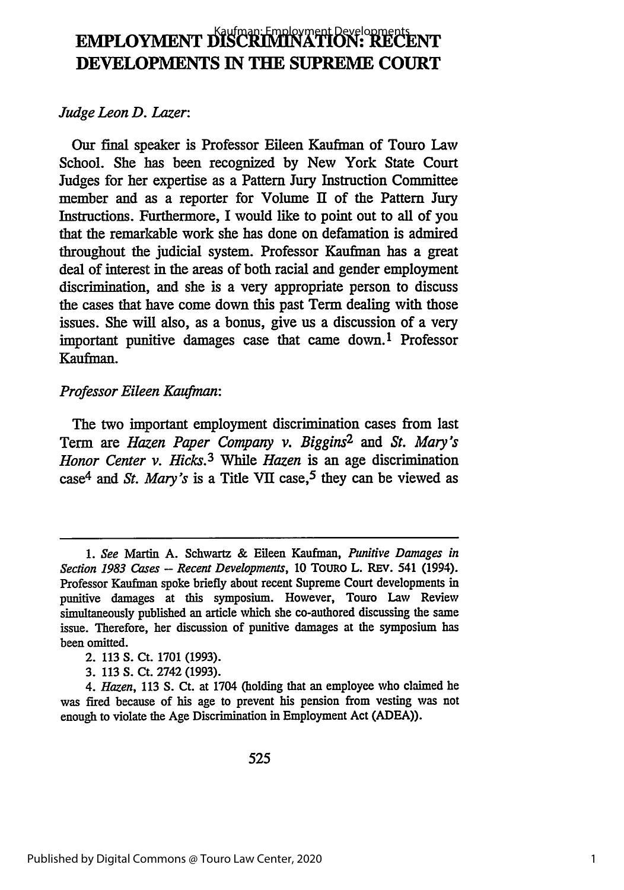## **EMPLOYMENT DISCRIMINATION: RECENT DEVELOPMENTS IN THE SUPREME COURT**

#### *Judge Leon D. Lazer:*

Our final speaker is Professor Eileen Kaufman of Touro Law School. She has been recognized by New York State Court Judges for her expertise as a Pattern Jury Instruction Committee member and as a reporter for Volume II of the Pattern Jury Instructions. Furthermore, I would like to point out to all of you that the remarkable work she has done on defamation is admired throughout the judicial system. Professor Kaufman has a great deal of interest in the areas of both racial and gender employment discrimination, and she is a very appropriate person to discuss the cases that have come down this past Term dealing with those issues. She will also, as a bonus, give us a discussion of a very important punitive damages case that came down. 1 Professor Kaufman.

#### *Professor Eileen Kaufman:*

The two important employment discrimination cases from last Term are *Hazen Paper Company v. Biggins2 and St. Mary's Honor Center v. Hicks.3 While Hazen* is an age discrimination case<sup>4</sup> and *St. Mary's* is a Title VII case,<sup>5</sup> they can be viewed as

3. 113 S. Ct. 2742 (1993).

*<sup>1.</sup> See* Martin **A.** Schwartz **&** Eileen Kaufman, *Punitive Damages in Section 1983 Cases* - *Recent Developments,* 10 ToURo L. REv. 541 (1994). Professor Kaufman spoke briefly about recent Supreme Court developments in punitive damages at this symposium. However, Touro Law Review simultaneously published an article which she co-authored discussing the same issue. Therefore, her discussion of punitive damages at the symposium has been omitted.

<sup>2. 113</sup> S. Ct. 1701 (1993).

*<sup>4.</sup> Hazen,* 113 S. Ct. at 1704 (holding that an employee who claimed he was fired because of his age to prevent his pension from vesting was not enough to violate the Age Discrimination in Employment Act (ADEA)).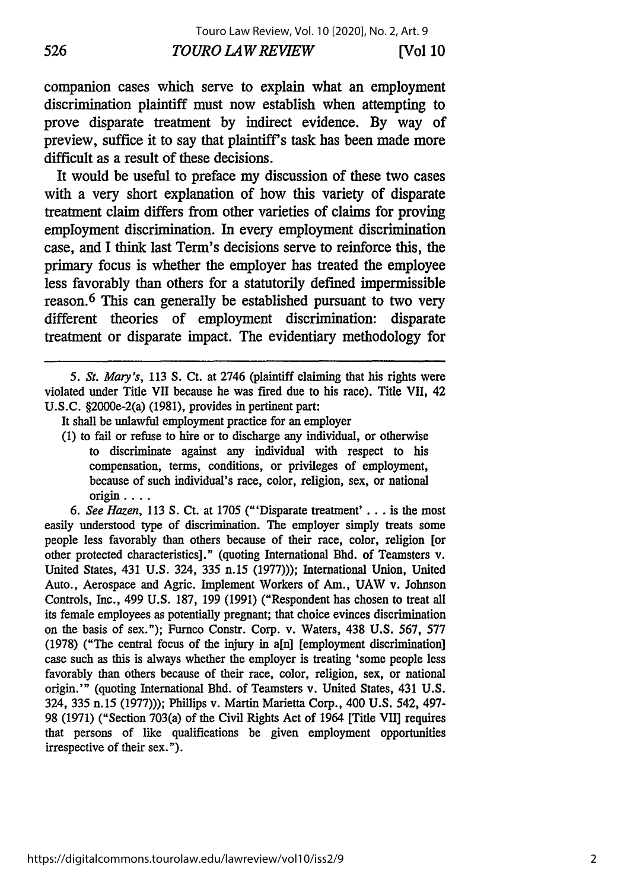companion cases which serve to explain what an employment discrimination plaintiff must now establish when attempting to prove disparate treatment by indirect evidence. By way of preview, suffice it to say that plaintiff's task has been made more difficult as a result of these decisions.

It would be useful to preface my discussion of these two cases with a very short explanation of how this variety of disparate treatment claim differs from other varieties of claims for proving employment discrimination. In every employment discrimination case, and I think last Term's decisions serve to reinforce this, the primary focus is whether the employer has treated the employee less favorably than others for a statutorily defined impermissible reason. 6 This can generally be established pursuant to two very different theories of employment discrimination: disparate treatment or disparate impact. The evidentiary methodology for

*5. St. Mary's,* 113 S. Ct. at 2746 (plaintiff claiming that his rights were violated under Title VII because he was fired due to his race). Title VII, 42 U.S.C. §2000e-2(a) (1981), provides in pertinent part:

- It shall be unlawful employment practice for an employer
- (1) to fail or refuse to hire or to discharge any individual, or otherwise to discriminate against any individual with respect to his compensation, terms, conditions, or privileges of employment, because of such individual's race, color, religion, sex, or national origin ....

*6. See Hazen,* 113 S. Ct. at 1705 ("'Disparate treatment' **...** is the most easily understood type of discrimination. The employer simply treats some people less favorably than others because of their race, color, religion [or other protected characteristics]." (quoting International Bhd. of Teamsters v. United States, 431 U.S. 324, 335 n.15 (1977))); International Union, United Auto., Aerospace and Agric. Implement Workers of Am., UAW v. Johnson Controls, Inc., 499 U.S. 187, 199 (1991) ("Respondent has chosen to treat all its female employees as potentially pregnant; that choice evinces discrimination on the basis of sex."); Furnco Constr. Corp. v. Waters, 438 U.S. 567, 577 (1978) ("The central focus of the injury in a[n] [employment discrimination] case such as this is always whether the employer is treating 'some people less favorably than others because of their race, color, religion, sex, or national origin.'" (quoting International Bhd. of Teamsters v. United States, 431 U.S. 324, 335 n. 15 (1977))); Phillips v. Martin Marietta Corp., 400 U.S. 542, 497- 98 (1971) ("Section 703(a) of the Civil Rights Act of 1964 [Title VII] requires that persons of like qualifications be given employment opportunities irrespective of their sex.").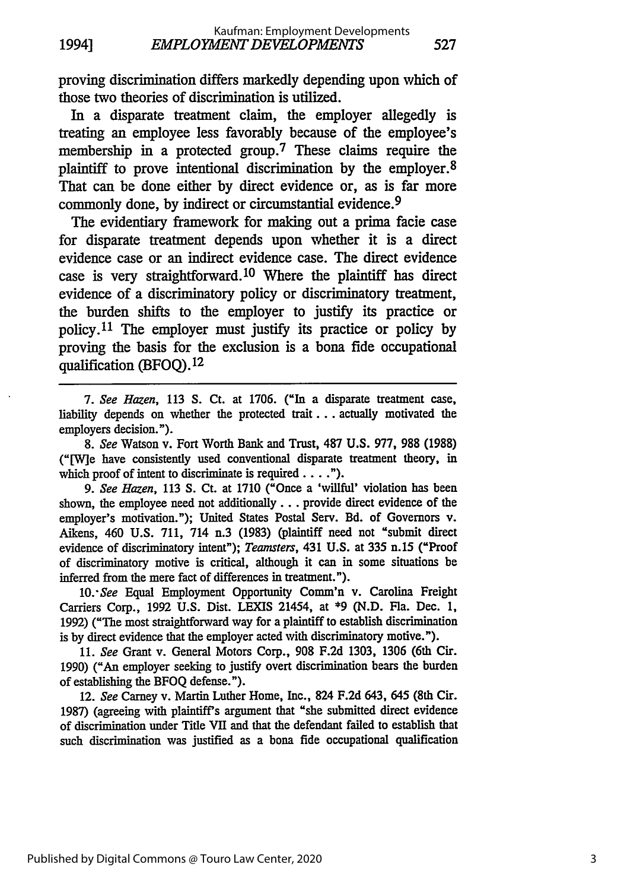proving discrimination differs markedly depending upon which of those two theories of discrimination is utilized.

In a disparate treatment claim, the employer allegedly is treating an employee less favorably because of the employee's membership in a protected group.<sup>7</sup> These claims require the plaintiff to prove intentional discrimination by the employer. <sup>8</sup> That can be done either by direct evidence or, as is far more commonly done, by indirect or circumstantial evidence. <sup>9</sup>

The evidentiary framework for making out a prima facie case for disparate treatment depends upon whether it is a direct evidence case or an indirect evidence case. The direct evidence case is very straightforward. 10 Where the plaintiff has direct evidence of a discriminatory policy or discriminatory treatment, the burden shifts to the employer to justify its practice or policy. 11 The employer must justify its practice or policy by proving the basis for the exclusion is a bona fide occupational qualification (BFOQ). <sup>12</sup>

*7. See Hazen,* 113 **S.** Ct. at 1706. ("In a disparate treatment case, liability depends on whether the protected trait... actually motivated the employers decision.").

*8. See* Watson v. Fort Worth Bank and Trust, 487 **U.S.** 977, 988 (1988) ("[W]e have consistently used conventional disparate treatment theory, in which proof of intent to discriminate is required  $\dots$ .").

*9. See Hazen,* 113 S. Ct. at 1710 ("Once a 'willful' violation has been shown, the employee need not additionally... provide direct evidence of the employer's motivation."); United States Postal Serv. Bd. of Governors v. Aikens, 460 U.S. 711, 714 n.3 (1983) (plaintiff need not "submit direct evidence of discriminatory intent"); *Teamsters,* 431 U.S. at 335 n.15 ("Proof of discriminatory motive is critical, although it can in some situations be inferred from the mere fact of differences in treatment.").

*10. See* Equal Employment Opportunity Comm'n v. Carolina Freight Carriers Corp., 1992 U.S. Dist. LEXIS 21454, at \*9 (N.D. Fla. Dec. 1, 1992) ("The most straightforward way for a plaintiff to establish discrimination is by direct evidence that the employer acted with discriminatory motive.").

11. *See* Grant v. General Motors Corp., 908 F.2d 1303, 1306 (6th Cir. 1990) ("An employer seeking to justify overt discrimination bears the burden of establishing the BFOQ defense.").

12. *See* Carney v. Martin Luther Home, Inc., 824 F.2d 643, 645 (8th Cir. 1987) (agreeing with plaintiff's argument that "she submitted direct evidence of discrimination under Title VII and that the defendant failed to establish that such discrimination was justified as a bona fide occupational qualification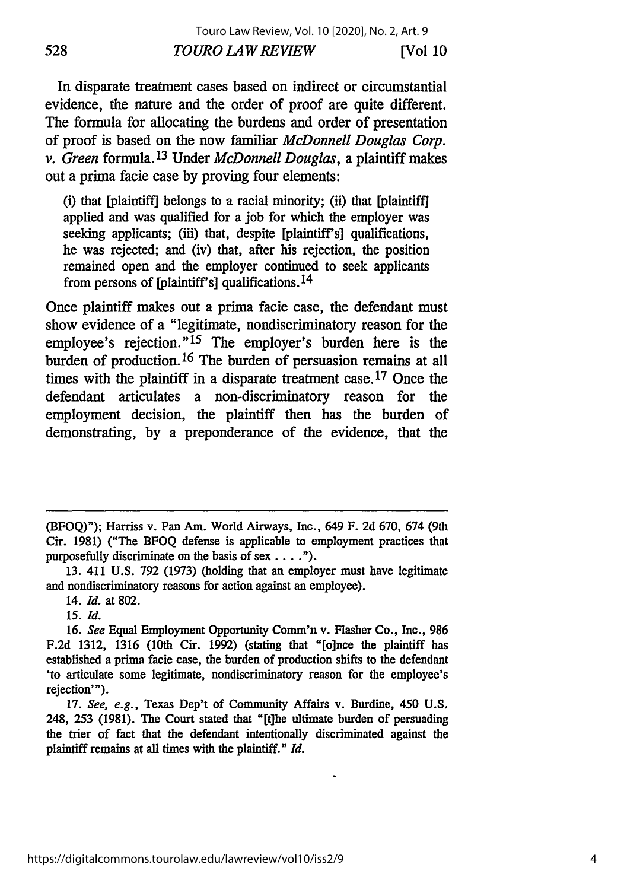In disparate treatment cases based on indirect or circumstantial evidence, the nature and the order of proof are quite different. The formula for allocating the burdens and order of presentation of proof is based on the now familiar *McDonnell Douglas Corp. v. Green* formula. 13 Under *McDonnell Douglas,* a plaintiff makes out a prima facie case by proving four elements:

(i) that [plaintiff] belongs to a racial minority; (ii) that [plaintiff] applied and was qualified for a job for which the employer was seeking applicants; (iii) that, despite [plaintiff's] qualifications, he was rejected; and (iv) that, after his rejection, the position remained open and the employer continued to seek applicants from persons of [plaintiff's] qualifications. 14

Once plaintiff makes out a prima facie case, tie defendant must show evidence of a "legitimate, nondiscriminatory reason for the employee's rejection."<sup>15</sup> The employer's burden here is the burden of production. 16 The burden of persuasion remains at all times with the plaintiff in a disparate treatment case. 17 Once the defendant articulates a non-discriminatory reason for the employment decision, the plaintiff then has the burden of demonstrating, by a preponderance of the evidence, that the

14. *Id.* at 802.

15. Id.

17. *See, e.g.,* Texas Dep't of Community Affairs v. Burdine, 450 U.S. 248, 253 (1981). The Court stated that "[t]he ultimate burden of persuading the trier of fact that the defendant intentionally discriminated against the plaintiff remains at all times with the plaintiff." *Id.*

<sup>(</sup>BFOQ)"); Harriss v. Pan Am. World Airways, Inc., 649 F. 2d 670, 674 (9th Cir. 1981) ("The BFOQ defense is applicable to employment practices that purposefully discriminate on the basis of sex  $\dots$ .").

<sup>13. 411</sup> U.S. 792 (1973) (holding that an employer must have legitimate and nondiscriminatory reasons for action against an employee).

<sup>16.</sup> *See* Equal Employment Opportunity Comm'n v. Flasher Co., Inc., 986 F.2d 1312, 1316 (10th Cir. 1992) (stating that "[o]nce the plaintiff has established a prima facie case, the burden of production shifts to the defendant 'to articulate some legitimate, nondiscriminatory reason for the employee's rejection'").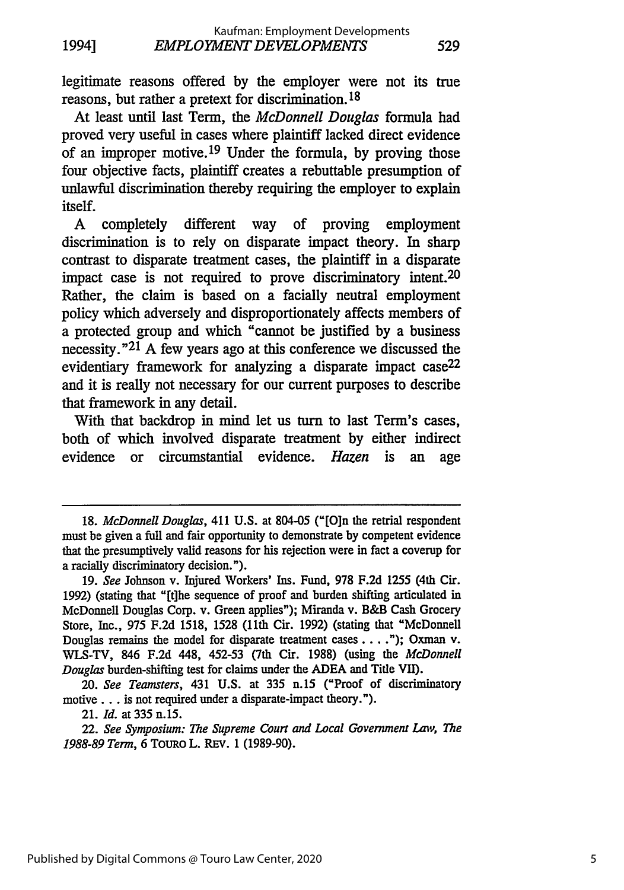legitimate reasons offered by the employer were not its true reasons, but rather a pretext for discrimination. 18

At least until last Term, the *McDonnell Douglas* formula had proved very useful in cases where plaintiff lacked direct evidence of an improper motive. 19 Under the formula, by proving those four objective facts, plaintiff creates a rebuttable presumption of unlawful discrimination thereby requiring the employer to explain itself.

A completely different way of proving employment discrimination is to rely on disparate impact theory. In sharp contrast to disparate treatment cases, the plaintiff in a disparate impact case is not required to prove discriminatory intent.<sup>20</sup> Rather, the claim is based on a facially neutral employment policy which adversely and disproportionately affects members of a protected group and which "cannot be justified by a business necessity."<sup>21</sup> A few years ago at this conference we discussed the evidentiary framework for analyzing a disparate impact case<sup>22</sup> and it is really not necessary for our current purposes to describe that framework in any detail.

With that backdrop in mind let us turn to last Term's cases, both of which involved disparate treatment by either indirect evidence or circumstantial evidence. *Hazen* is an age

20. *See Teamsters,* 431 U.S. at 335 n.15 ("Proof of discriminatory motive... is not required under a disparate-impact theory.").

21. *Id.* at 335 n. 15.

22. *See Symposium: The Supreme Court and Local Government Lnv, The 1988-89 Term,* 6 TouRO L. REv. 1 (1989-90).

<sup>18.</sup> *McDonnell Douglas,* 411 U.S. at 804-05 ("[Oin the retrial respondent must be given a full and fair opportunity to demonstrate **by** competent evidence that the presumptively valid reasons for his rejection were in fact a coverup for a racially discriminatory decision.").

<sup>19.</sup> *See* Johnson v. Injured Workers' Ins. Fund, 978 F.2d 1255 (4th Cir. 1992) (stating that "[t]he sequence of proof and burden shifting articulated in McDonnell Douglas Corp. v. Green applies"); Miranda v. B&B Cash Grocery Store, Inc., 975 F.2d 1518, 1528 (1lth Cir. 1992) (stating that "McDonnell Douglas remains the model for disparate treatment cases .... "); Oxman v. WLS-TV, 846 F.2d 448, 452-53 (7th Cir. 1988) (using the *McDonnell Douglas* burden-shifting test for claims under the ADEA and Title VII).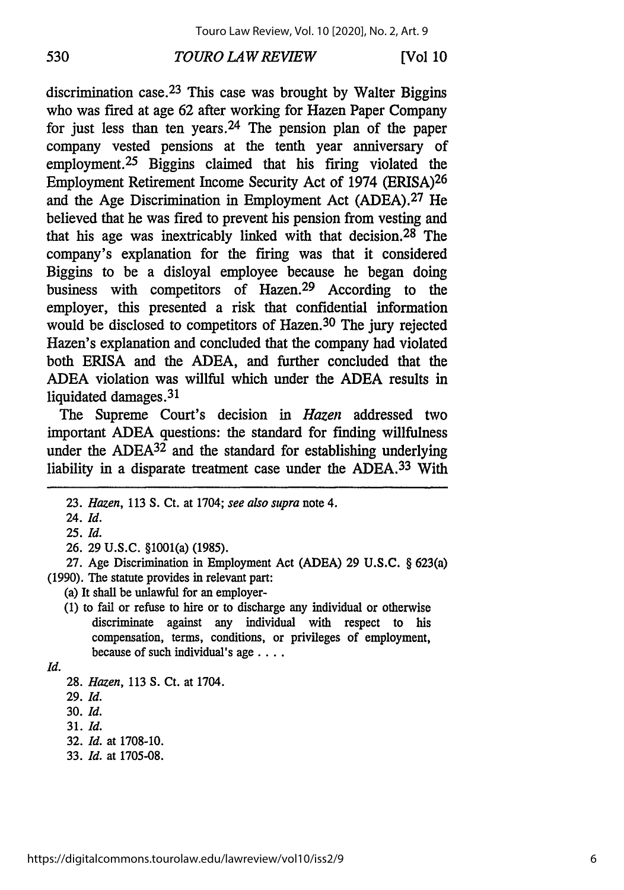### *TOURO LAW REVIEW* **530 [Vol 10**

discrimination case.<sup>23</sup> This case was brought by Walter Biggins who was fired at age 62 after working for Hazen Paper Company for just less than ten years.<sup>24</sup> The pension plan of the paper company vested pensions at the tenth year anniversary of employment.<sup>25</sup> Biggins claimed that his firing violated the Employment Retirement Income Security Act of 1974 (ERISA)<sup>26</sup> and the Age Discrimination in Employment Act (ADEA).27 He believed that he was fired to prevent his pension from vesting and that his age was inextricably linked with that decision.<sup>28</sup> The company's explanation for the firing was that it considered Biggins to be a disloyal employee because he began doing business with competitors of Hazen.29 According to the employer, this presented a risk that confidential information would be disclosed to competitors of Hazen.<sup>30</sup> The jury rejected Hazen's explanation and concluded that the company had violated both ERISA and the ADEA, and further concluded that the ADEA violation was willful which under the ADEA results in liquidated damages.<sup>31</sup>

The Supreme Court's decision in *Hazen* addressed two important ADEA questions: the standard for finding willfulness under the  $ADEA^{32}$  and the standard for establishing underlying liability in a disparate treatment case under the ADEA.<sup>33</sup> With

(a) It shall be unlawful for an employer-

**(1)** to fail or refuse to hire or to discharge any individual or otherwise discriminate against any individual with respect to his compensation, terms, conditions, or privileges of employment, because of such individual's age **....**

*Id.*

**30.** *Id.*

- **32.** *Id.* at **1708-10.**
- **33.** *Id.* at **1705-08.**

<sup>23.</sup> *Hazen,* 113 **S.** Ct. at 1704; *see also supra* note 4.

<sup>24.</sup> *Id.*

<sup>25.</sup> Id.

<sup>26. 29</sup> U.S.C. §1001(a) (1985).

<sup>27.</sup> Age Discrimination in Employment Act (ADEA) 29 U.S.C. § 623(a) (1990). The statute provides in relevant part:

<sup>28.</sup> *Hazen,* 113 S. Ct. at 1704.

<sup>29.</sup> Id.

**<sup>31.</sup>** Id.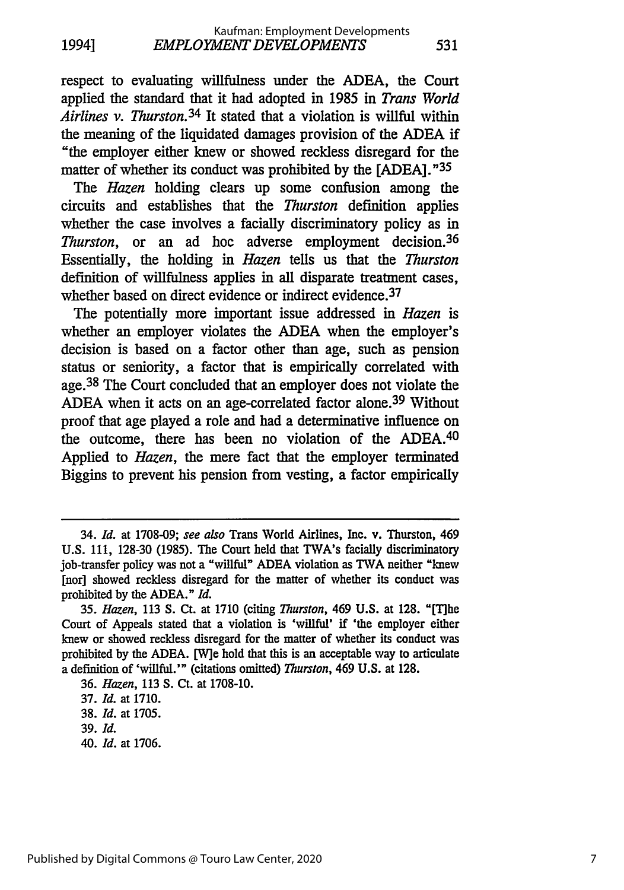respect to evaluating willfulness under the ADEA, the Court applied the standard that it had adopted in 1985 in *Trans World Airlines v. Thurston.34* It stated that a violation is willful within the meaning of the liquidated damages provision of the ADEA if "the employer either knew or showed reckless disregard for the matter of whether its conduct was prohibited by the [ADEA]."35

531

The *Hazen* holding clears up some confusion among the circuits and establishes that the *Thurston* definition applies whether the case involves a facially discriminatory policy as in *Thurston,* or an ad hoc adverse employment decision. <sup>36</sup> Essentially, the holding in *Hazen* tells us that the *Thurston* definition of willfulness applies in all disparate treatment cases, whether based on direct evidence or indirect evidence.<sup>37</sup>

The potentially more important issue addressed in *Hazen* is whether an employer violates the ADEA when the employer's decision is based on a factor other than age, such as pension status or seniority, a factor that is empirically correlated with age. 38 The Court concluded that an employer does not violate the ADEA when it acts on an age-correlated factor alone.39 Without proof that age played a role and had a determinative influence on the outcome, there has been no violation of the ADEA. <sup>40</sup> Applied to *Hazen,* the mere fact that the employer terminated Biggins to prevent his pension from vesting, a factor empirically

36. *Hazen,* 113 S. Ct. at 1708-10.

*40. Id.* at 1706.

<sup>34.</sup> *Id.* at 1708-09; see also Trans World Airlines, Inc. v. Thurston, 469 U.S. 111, 128-30 (1985). The Court held that TWA's facially discriminatory job-transfer policy was not a "willful" ADEA violation as TWA neither "knew [nor] showed reckless disregard for the matter of whether its conduct was prohibited by the ADEA." *Id.*

<sup>35.</sup> *Hazen,* 113 S. Ct. at 1710 (citing *Thurston,* 469 U.S. at 128. "[The Court of Appeals stated that a violation is 'willful' if 'the employer either knew or showed reckless disregard for the matter of whether its conduct was prohibited by the ADEA. [W]e hold that this is an acceptable way to articulate a definition of 'willful.'" (citations omitted) *Thurston,* 469 U.S. at 128.

<sup>37.</sup> *Id.* at 1710.

<sup>38.</sup> *Id.* at 1705.

<sup>39.</sup> *Id.*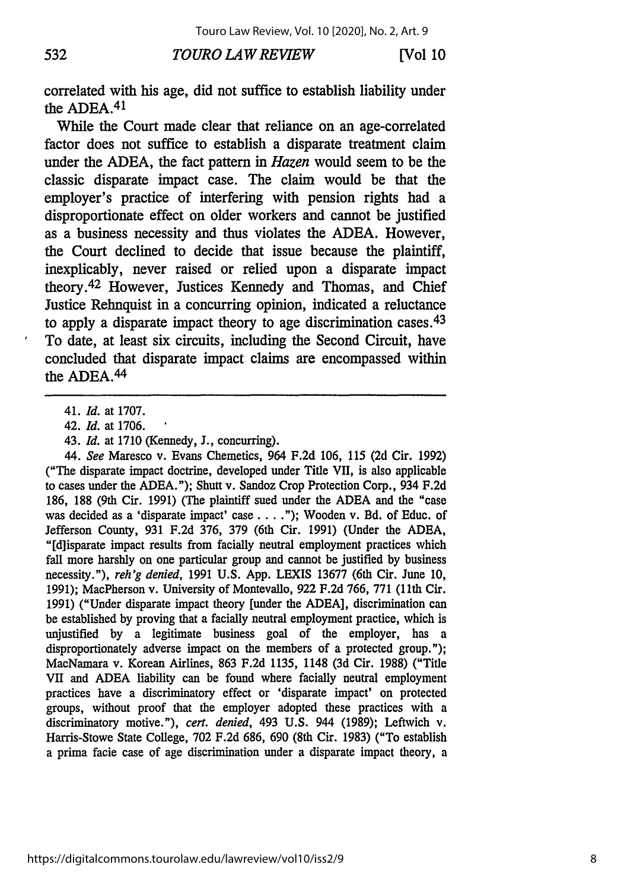#### *TOURO LAW REVIEW* **532 [Vol I0**

correlated with his age, did not suffice to establish liability under the ADEA.<sup>41</sup>

While the Court made clear that reliance on an age-correlated factor does not suffice to establish a disparate treatment claim under the ADEA, the fact pattern in *Hazen* would seem to be the classic disparate impact case. The claim would be that the employer's practice of interfering with pension rights had a disproportionate effect on older workers and cannot be justified as a business necessity and thus violates the ADEA. However, the Court declined to decide that issue because the plaintiff, inexplicably, never raised or relied upon a disparate impact theory. 42 However, Justices Kennedy and Thomas, and Chief Justice Rehnquist in a concurring opinion, indicated a reluctance to apply a disparate impact theory to age discrimination cases.  $43$ To date, at least six circuits, including the Second Circuit, have concluded that disparate impact claims are encompassed within the ADEA.<sup>44</sup>

*44. See* Maresco v. Evans Chemetics, 964 F.2d 106, 115 (2d Cir. 1992) ("The disparate impact doctrine, developed under Title VII, is also applicable to cases under the ADEA."); Shutt v. Sandoz Crop Protection Corp., 934 F.2d **186, 188** (9th Cir. **1991)** (The plaintiff sued under the **ADEA** and the "case was decided as a 'disparate impact' case . . . ."); Wooden v. Bd. of Educ. of Jefferson County, 931 F.2d 376, 379 (6th Cir. 1991) (Under the ADEA, "[d]isparate impact results from facially neutral employment practices which fall more harshly on one particular group and cannot be justified by business necessity."), *reh'g denied,* 1991 U.S. App. LEXIS 13677 (6th Cir. June 10, 1991); MacPherson v. University of Montevallo, 922 F.2d 766, 771 (11th Cir. 1991) ("Under disparate impact theory [under the ADEA], discrimination can be established by proving that a facially neutral employment practice, which is unjustified by a legitimate business goal of the employer, has a disproportionately adverse impact on the members of a protected group."); MacNamara v. Korean Airlines, 863 F.2d 1135, 1148 (3d Cir. 1988) ("Title VII and ADEA liability can be found where facially neutral employment practices have a discriminatory effect or 'disparate impact' on protected groups, without proof that the employer adopted these practices with a discriminatory motive."), *cert. denied,* 493 U.S. 944 (1989); Leftwich v. Harris-Stowe State College, 702 F.2d 686, 690 (8th Cir. 1983) ("To establish a prima facie case of age discrimination under a disparate impact theory, a

<sup>41.</sup> *Id.* at 1707.

<sup>42.</sup> *Id.* at 1706.

<sup>43.</sup> *Id.* at 1710 (Kennedy, J., concurring).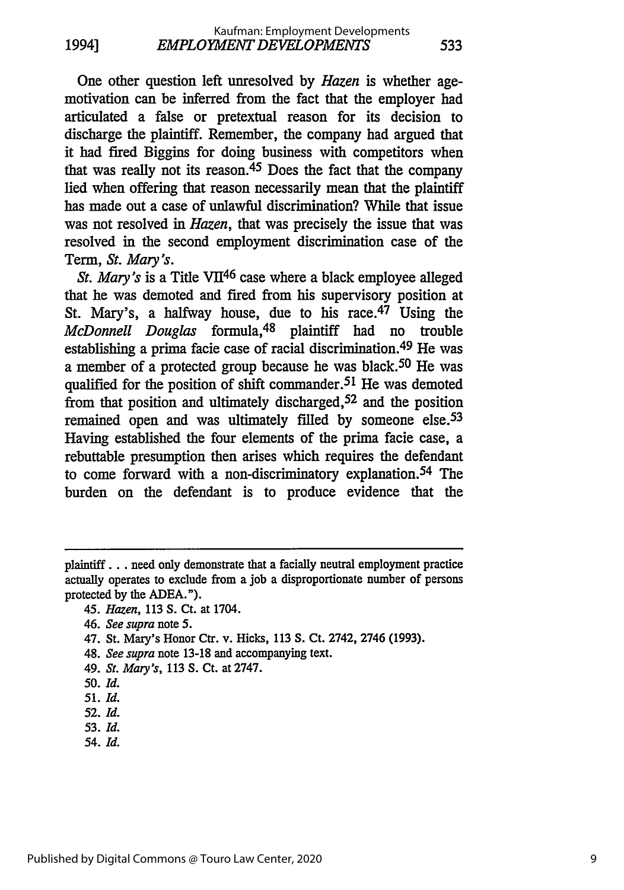One other question left unresolved **by** *Hazen* is whether agemotivation can be inferred from the fact that the employer had articulated a false or pretextual reason for its decision to discharge the plaintiff. Remember, the company had argued that it had fired Biggins for doing business with competitors when that was really not its reason.45 Does the fact that the company lied when offering that reason necessarily mean that the plaintiff has made out a case of unlawful discrimination? While that issue was not resolved in *Hazen,* that was precisely the issue that was resolved in the second employment discrimination case of the Term, *St. Mary's.*

*St. Mary's* is a Title VII46 case where a black employee alleged that he was demoted and fired from his supervisory position at St. Mary's, a halfway house, due to his race.<sup>47</sup> Using the *McDonnell Douglas* formula, 48 plaintiff had no trouble establishing a prima facie case of racial discrimination. 49 He was a member of a protected group because he was black. 50 He was qualified for the position of shift commander.<sup>51</sup> He was demoted from that position and ultimately discharged, 52 and the position remained open and was ultimately filled by someone else.<sup>53</sup> Having established the four elements of the prima facie case, a rebuttable presumption then arises which requires the defendant to come forward with a non-discriminatory explanation. 54 The burden on the defendant is to produce evidence that the

- 48. *See supra* note 13-18 and accompanying text.
- 49. *St. Mary's,* 113 S. Ct. at 2747.
- **50.** *Id.*
- *51. Id.*
- 52. *Id.*
- 53. *Id.*
- 54. *Id.*

plaintiff.., need only demonstrate that a facially neutral employment practice actually operates to exclude from a job a disproportionate number of persons protected **by** the **ADEA.").**

<sup>45.</sup> *Hazen,* 113 S. Ct. at 1704.

<sup>46.</sup> *See supra note* 5.

<sup>47.</sup> St. Mary's Honor Ctr. v. Hicks, 113 **S.** Ct. 2742, 2746 (1993).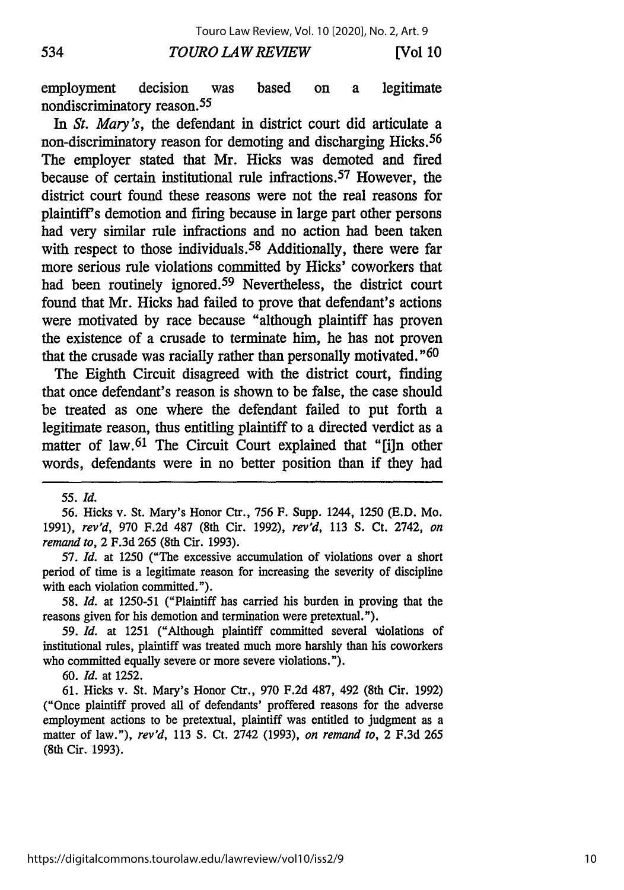**[Vol 10**

#### *TOURO LAW REVIEW*

employment decision was based on a legitimate nondiscriminatory reason.<sup>55</sup>

In *St. Mary's,* the defendant in district court did articulate a non-discriminatory reason for demoting and discharging Hicks. <sup>56</sup> The employer stated that Mr. Hicks was demoted and fired because of certain institutional rule infractions. 57 However, the district court found these reasons were not the real reasons for plaintiff's demotion and firing because in large part other persons had very similar rule infractions and no action had been taken with respect to those individuals.<sup>58</sup> Additionally, there were far more serious rule violations committed by Hicks' coworkers that had been routinely ignored.59 Nevertheless, the district court found that Mr. Hicks had failed to prove that defendant's actions were motivated by race because "although plaintiff has proven the existence of a crusade to terminate him, he has not proven that the crusade was racially rather than personally motivated. "60

The Eighth Circuit disagreed with the district court, finding that once defendant's reason is shown to be false, the case should be treated as one where the defendant failed to put forth a legitimate reason, thus entitling plaintiff to a directed verdict as a matter of law.<sup>61</sup> The Circuit Court explained that "[i]n other words, defendants were in no better position than if they had

534

56. Hicks v. St. Mary's Honor Ctr., 756 F. Supp. 1244, 1250 (E.D. Mo. 1991), *rev'd,* 970 F.2d 487 (8th Cir. 1992), *rev'd,* 113 S. Ct. 2742, *on remand to,* 2 F.3d 265 (8th Cir. 1993).

57. *Id.* at 1250 ("The excessive accumulation of violations over a short period of time is a legitimate reason for increasing the severity of discipline with each violation committed.").

*58. Id.* at 1250-51 ("Plaintiff has carried his burden in proving that the reasons given for his demotion and termination were pretextual.").

*59. Id.* at 1251 ("Although plaintiff committed several violations of institutional rules, plaintiff was treated much more harshly than his coworkers who committed equally severe or more severe violations.").

60. *Id.* at 1252.

61. Hicks v. St. Mary's Honor Ctr., 970 F.2d 487, 492 (8th Cir. 1992) ("Once plaintiff proved all of defendants' proffered reasons for the adverse employment actions to be pretextual, plaintiff was entitled to judgment as a matter of law."), *rev'd,* 113 S. Ct. 2742 (1993), *on remand to,* 2 F.3d 265 (8th Cir. 1993).

*<sup>55.</sup> Id.*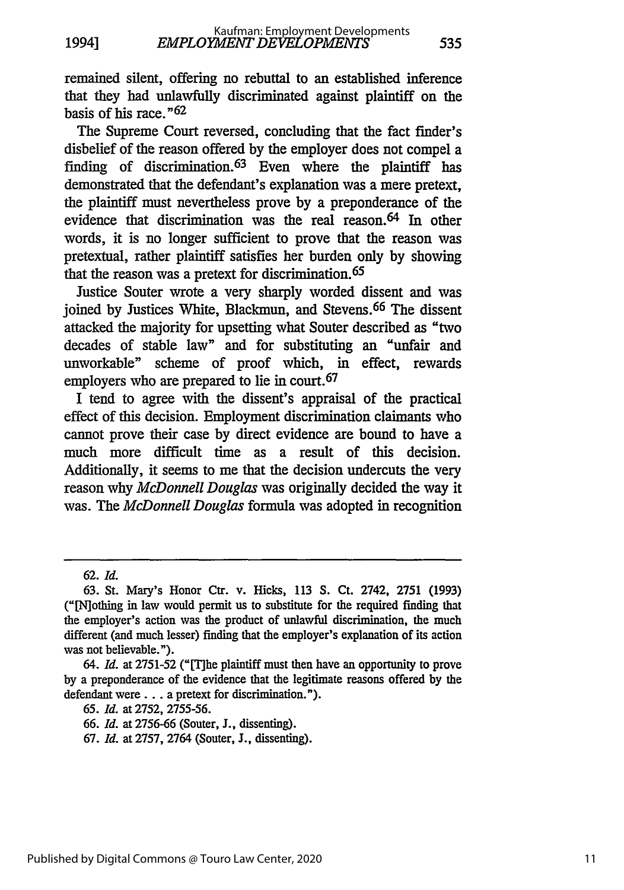remained silent, offering no rebuttal to an established inference that they had unlawfully discriminated against plaintiff on the basis of his race." <sup>62</sup>

The Supreme Court reversed, concluding that the fact finder's disbelief of the reason offered by the employer does not compel a finding of discrimination. 63 Even where the plaintiff has demonstrated that the defendant's explanation was a mere pretext, the plaintiff must nevertheless prove by a preponderance of the evidence that discrimination was the real reason. 64 In other words, it is no longer sufficient to prove that the reason was pretextual, rather plaintiff satisfies her burden only by showing that the reason was a pretext for discrimination. <sup>65</sup>

Justice Souter wrote a very sharply worded dissent and was joined by Justices White, Blackmun, and Stevens. 66 The dissent attacked the majority for upsetting what Souter described as "two decades of stable law" and for substituting an "unfair and unworkable" scheme of proof which, in effect, rewards employers who are prepared to lie in court. <sup>67</sup>

I tend to agree with the dissent's appraisal of the practical effect of this decision. Employment discrimination claimants who cannot prove their case by direct evidence are bound to have a much more difficult time as a result of this decision. Additionally, it seems to me that the decision undercuts the very reason why *McDonnell Douglas* was originally decided the way it was. The *McDonnell Douglas* formula was adopted in recognition

<sup>62.</sup> *Id.*

<sup>63.</sup> St. Mary's Honor Ctr. v. Hicks, 113 S. Ct. 2742, 2751 (1993) ("[Nothing in law would permit us to substitute for the required finding that the employer's action was the product of unlawful discrimination, the much different (and much lesser) finding that the employer's explanation of its action was not believable.").

<sup>64.</sup> *Id.* at 2751-52 ("[T]he plaintiff must then have an opportunity to prove by a preponderance of the evidence that the legitimate reasons offered by the defendant were... a pretext for discrimination.").

*<sup>65.</sup> Id.* at 2752, 2755-56.

<sup>66.</sup> *Id.* at 2756-66 (Souter, J., dissenting).

<sup>67.</sup> *Id.* at 2757, 2764 (Souter, J., dissenting).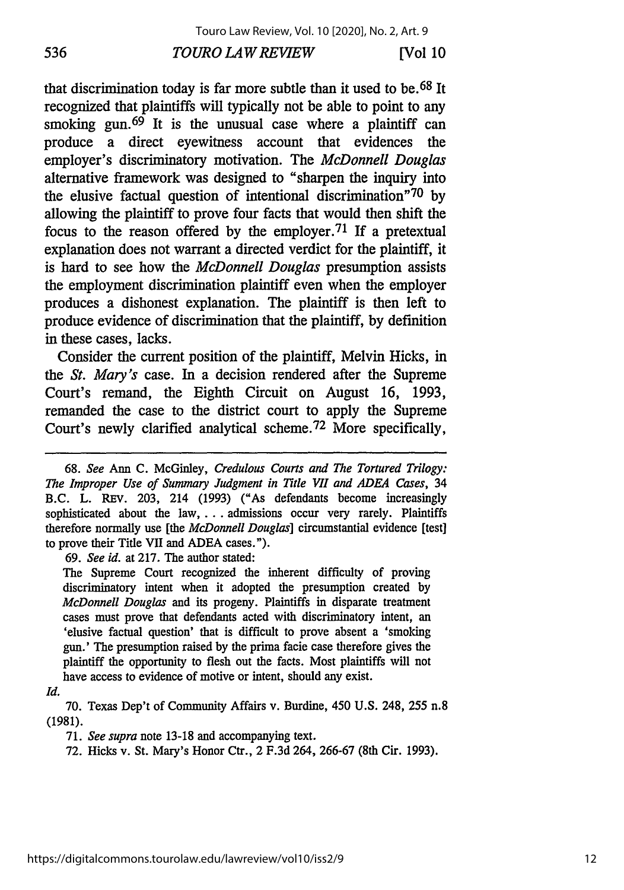#### *TOURO LAW REVIEW* **536 [Vol 10**

that discrimination today is far more subtle than it used to be. 68 It recognized that plaintiffs will typically not be able to point to any smoking gun.  $69$  It is the unusual case where a plaintiff can produce a direct eyewitness account that evidences the employer's discriminatory motivation. The *McDonnell Douglas* alternative framework was designed to "sharpen the inquiry into the elusive factual question of intentional discrimination<sup>"70</sup> by allowing the plaintiff to prove four facts that would then shift the focus to the reason offered by the employer.<sup>71</sup> If a pretextual explanation does not warrant a directed verdict for the plaintiff, it is hard to see how the *McDonnell Douglas* presumption assists the employment discrimination plaintiff even when the employer produces a dishonest explanation. The plaintiff is then left to produce evidence of discrimination that the plaintiff, by definition in these cases, lacks.

Consider the current position of the plaintiff, Melvin Hicks, in the *St. Mary's* case. In a decision rendered after the Supreme Court's remand, the Eighth Circuit on August 16, 1993, remanded the case to the district court to apply the Supreme Court's newly clarified analytical scheme. 72 More specifically,

69. *See id.* at 217. The author stated:

The Supreme Court recognized the inherent difficulty of proving discriminatory intent when it adopted the presumption created by *McDonnell Douglas* and its progeny. Plaintiffs in disparate treatment cases must prove that defendants acted with discriminatory intent, an 'elusive factual question' that is difficult to prove absent a 'smoking gun.' The presumption raised by the prima facie case therefore gives the plaintiff the opportunity to flesh out the facts. Most plaintiffs will not have access to evidence of motive or intent, should any exist.

*Id.*

70. Texas Dep't of Community Affairs v. Burdine, 450 U.S. 248, **255** n.8 (1981).

71. *See supra* note 13-18 and accompanying text.

72. Hicks v. St. Mary's Honor Ctr., 2 F.3d 264, 266-67 (8th Cir. 1993).

<sup>68.</sup> *See* Ann C. McGinley, *Credulous Courts and The Tortured Trilogy: The Improper Use of Summary Judgment in Title VII and ADEA Cases,* 34 B.C. L. REv. 203, 214 (1993) ("As defendants become increasingly sophisticated about the law ... admissions occur very rarely. Plaintiffs therefore normally use [the *McDonnell Douglas]* circumstantial evidence [test] to prove their Title VII and ADEA cases.").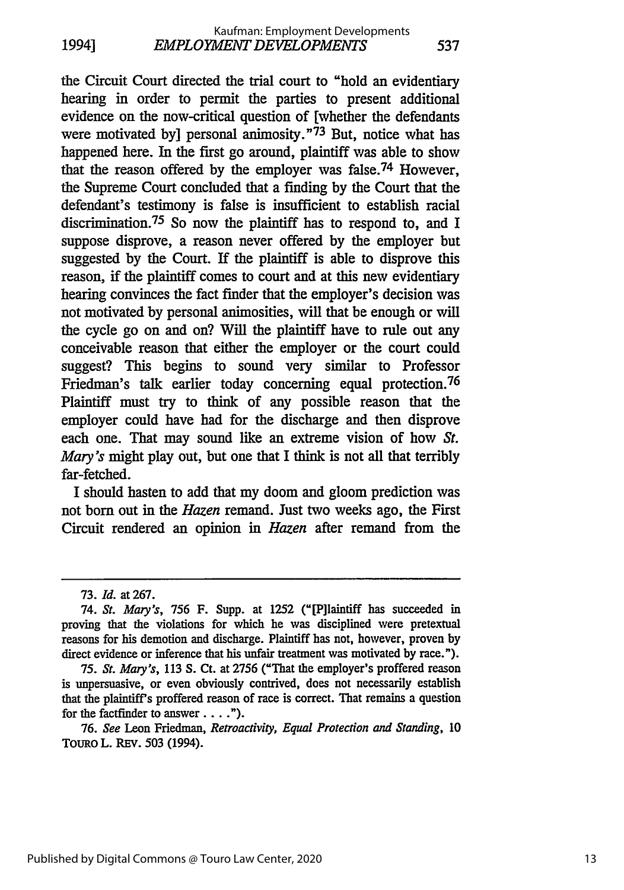the Circuit Court directed the trial court to "hold an evidentiary hearing in order to permit the parties to present additional evidence on the now-critical question of [whether the defendants were motivated byl personal animosity."<sup>73</sup> But, notice what has happened here. In the first go around, plaintiff was able to show that the reason offered by the employer was false.74 However, the Supreme Court concluded that a finding by the Court that the defendant's testimony is false is insufficient to establish racial discrimination. 75 So now the plaintiff has to respond to, and I suppose disprove, a reason never offered by the employer but suggested by the Court. If the plaintiff is able to disprove this reason, if the plaintiff comes to court and at this new evidentiary hearing convinces the fact finder that the employer's decision was not motivated by personal animosities, will that be enough or will the cycle go on and on? Will the plaintiff have to rule out any conceivable reason that either the employer or the court could suggest? This begins to sound very similar to Professor Friedman's talk earlier today concerning equal protection. <sup>76</sup> Plaintiff must try to think of any possible reason that the employer could have had for the discharge and then disprove each one. That may sound like an extreme vision of how *St. Mary's* might play out, but one that I think is not all that terribly far-fetched.

I should hasten to add that my doom and gloom prediction was not born out in the *Hazen* remand. Just two weeks ago, the First Circuit rendered an opinion in *Hazen* after remand from the

76. *See* Leon Friedman, *Retroactivity, Equal Protection and Standing,* 10 TouRo L. REV. 503 (1994).

<sup>73.</sup> *Id.* at 267.

<sup>74.</sup> *St. Mary's,* 756 F. Supp. at 1252 ("[P]Iaintiff has succeeded in proving that the violations for which he was disciplined were pretextual reasons for his demotion and discharge. Plaintiff has not, however, proven by direct evidence or inference that his unfair treatment was motivated **by** race.").

*<sup>75.</sup> St. Mary's,* 113 **S.** Ct. at 2756 ("That the employer's proffered reason is unpersuasive, or even obviously contrived, does not necessarily establish that the plaintiff's proffered reason of race is correct. That remains a question for the factfinder to answer. **.. ").**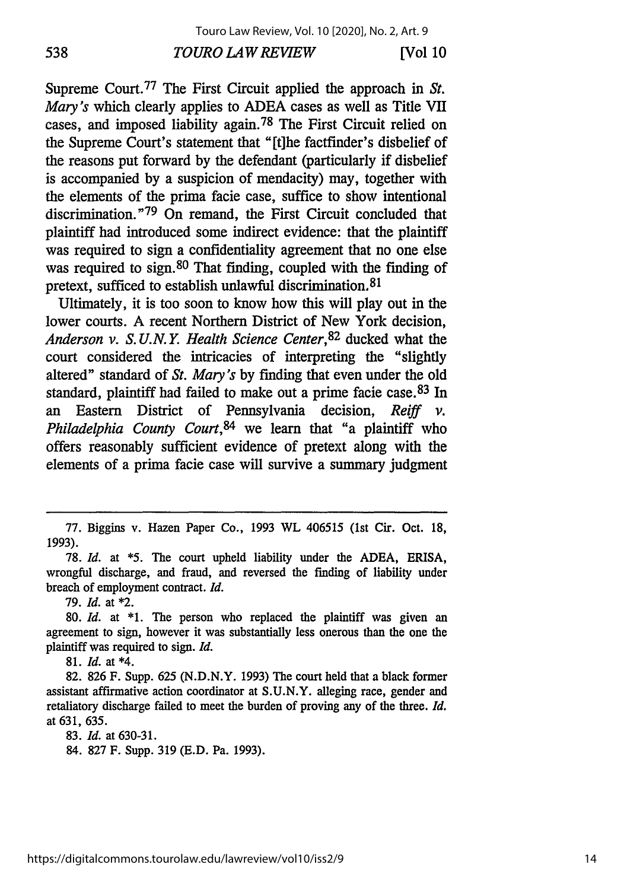#### *TOURO LAW REVIEW* **538 [Vol 10**

Supreme Court.<sup>77</sup> The First Circuit applied the approach in *St*. *Mary's* which clearly applies to ADEA cases as well as Title VII cases, and imposed liability again. 78 The First Circuit relied on the Supreme Court's statement that "[t]he factfinder's disbelief of the reasons put forward by the defendant (particularly if disbelief is accompanied by a suspicion of mendacity) may, together with the elements of the prima facie case, suffice to show intentional discrimination."<sup>79</sup> On remand, the First Circuit concluded that plaintiff had introduced some indirect evidence: that the plaintiff was required to sign a confidentiality agreement that no one else was required to sign.<sup>80</sup> That finding, coupled with the finding of pretext, sufficed to establish unlawful discrimination. <sup>81</sup>

Ultimately, it is too soon to know how this will play out in the lower courts. A recent Northern District of New York decision, *Anderson v. S. U.N. Y. Health Science Center,82* ducked what the court considered the intricacies of interpreting the "slightly altered" standard of *St. Mary's* by finding that even under the old standard, plaintiff had failed to make out a prime facie case. 83 In an Eastern District of Pennsylvania decision, *Reiff v. Philadelphia County Court,84* we learn that "a plaintiff who offers reasonably sufficient evidence of pretext along with the elements of a prima facie case will survive a summary judgment

79. *Id.* at \*2.

81. *Id.* at \*4.

82. 826 F. Supp. 625 (N.D.N.Y. 1993) The court held that a black former assistant affirmative action coordinator at S.U.N.Y. alleging race, gender and retaliatory discharge failed to meet the burden of proving any of the three. *Id.* at 631, 635.

83. *Id.* at 630-31.

84. 827 F. Supp. 319 (E.D. Pa. 1993).

<sup>77.</sup> Biggins v. Hazen Paper Co., 1993 WL 406515 (1st Cir. Oct. 18, 1993).

<sup>78.</sup> *Id.* at **\*5.** The court upheld liability under the ADEA, ERISA, wrongful discharge, and fraud, and reversed the finding of liability under breach of employment contract. *Id.*

<sup>80.</sup> *Id.* at \*1. The person who replaced the plaintiff was given an agreement to sign, however it was substantially less onerous than the one the plaintiff was required to sign. *Id.*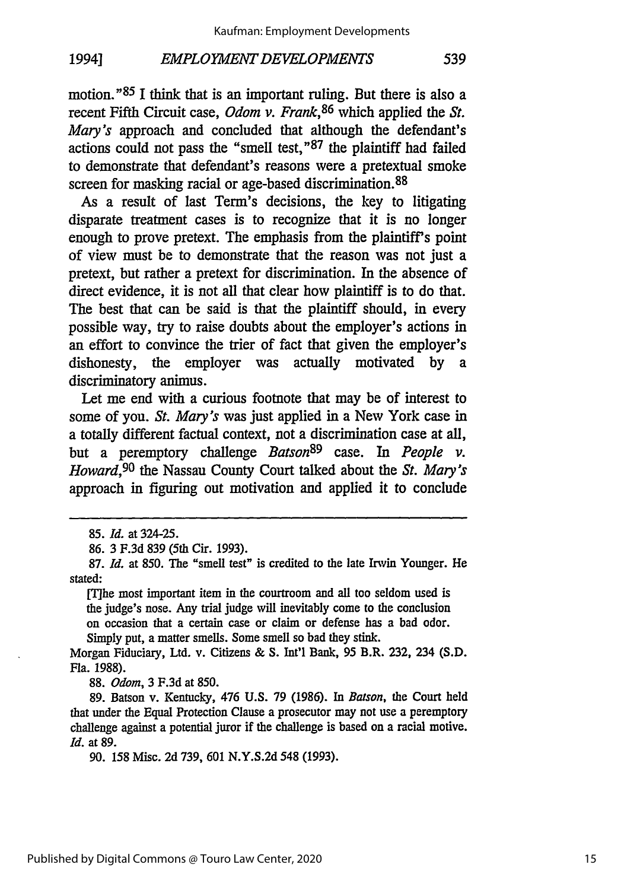#### **EMPLOYMENT DEVELOPMENTS** 1994]

motion." <sup>85</sup>**I** think that is an important ruling. But there is also a recent Fifth Circuit case, *Odom v. Frank,86* which applied the *St. Mary's* approach and concluded that although the defendant's actions could not pass the "smell test," 87 the plaintiff had failed to demonstrate that defendant's reasons were a pretextual smoke screen for masking racial or age-based discrimination. <sup>88</sup>

As a result of last Term's decisions, the key to litigating disparate treatment cases is to recognize that it is no longer enough to prove pretext. The emphasis from the plaintiff's point of view must be to demonstrate that the reason was not just a pretext, but rather a pretext for discrimination. In the absence of direct evidence, it is not all that clear how plaintiff is to do that. The best that can be said is that the plaintiff should, in every possible way, try to raise doubts about the employer's actions in an effort to convince the trier of fact that given the employer's dishonesty, the employer was actually motivated by a discriminatory animus.

Let me end with a curious footnote that may be of interest to some of you. *St. Mary's* was just applied in a New York case in a totally different factual context, not a discrimination case at all, but a peremptory challenge *Batson89* case. In *People v. Howard,90* the Nassau County Court talked about the *St. Mary's* approach in figuring out motivation and applied it to conclude

86. 3 F.3d 839 (5th Cir. 1993).

[Tihe most important item in the courtroom and all too seldom used is the judge's nose. Any trial judge will inevitably come to the conclusion on occasion that a certain case or claim or defense has a bad odor. Simply put, a matter smells. Some smell so bad they stink.

Morgan Fiduciary, Ltd. v. Citizens & S. Int'l Bank, 95 B.R. 232, 234 (S.D. Fla. 1988).

88. *Odom,* 3 F.3d at 850.

89. Batson v. Kentucky, 476 U.S. 79 (1986). In *Batson,* the Court held that under the Equal Protection Clause a prosecutor may not use a peremptory challenge against a potential juror if the challenge is based on a racial motive. *Id.* at 89.

90. 158 Misc. 2d 739, **601** N.Y.S.2d 548 (1993).

<sup>85.</sup> *Id.* at 324-25.

<sup>87.</sup> *Id.* at 850. The "smell test" is credited to the late Irwin Younger. He stated: